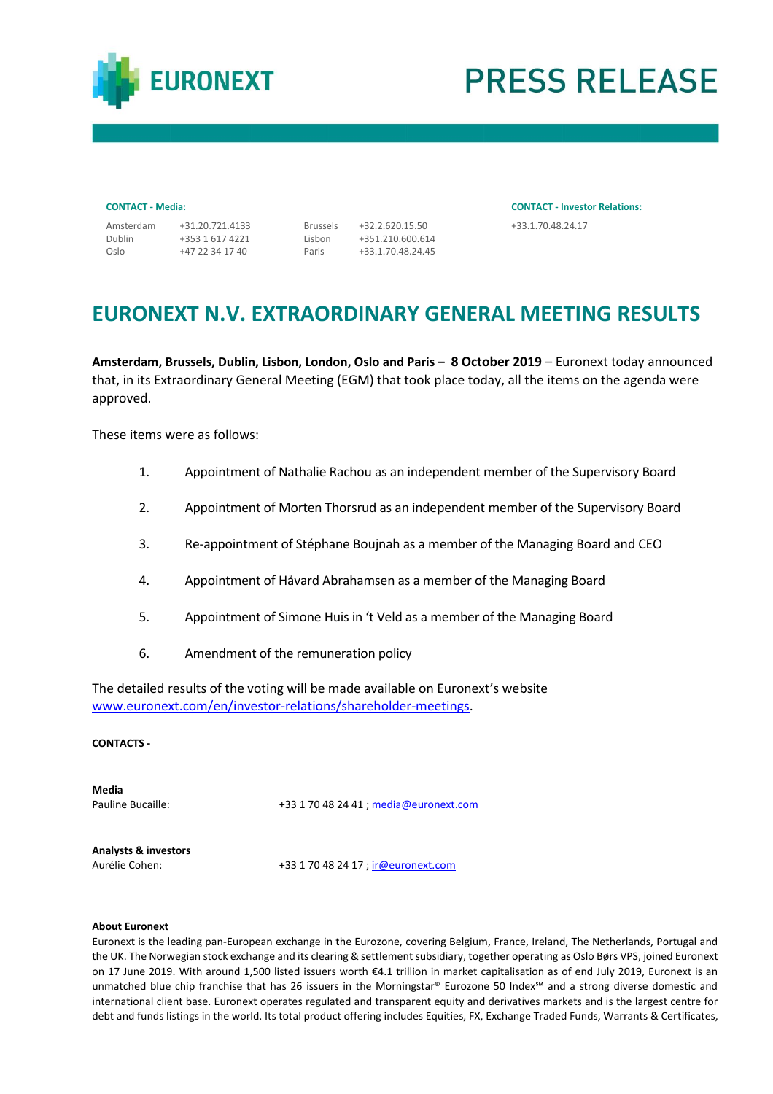

# **PRESS RELEASE**

Dublin Oslo

+353 1 617 4221 +47 22 34 17 40 Lisbon Paris

Amsterdam +31.20.721.4133 Brussels +32.2.620.15.50 +33.1.70.48.24.17 +351.210.600.614 +33.1.70.48.24.45

**CONTACT - Media: CONTACT - Investor Relations:**

## **EURONEXT N.V. EXTRAORDINARY GENERAL MEETING RESULTS**

**Amsterdam, Brussels, Dublin, Lisbon, London, Oslo and Paris – 8 October 2019** – Euronext today announced that, in its Extraordinary General Meeting (EGM) that took place today, all the items on the agenda were approved.

These items were as follows:

- 1. Appointment of Nathalie Rachou as an independent member of the Supervisory Board
- 2. Appointment of Morten Thorsrud as an independent member of the Supervisory Board
- 3. Re-appointment of Stéphane Boujnah as a member of the Managing Board and CEO
- 4. Appointment of Håvard Abrahamsen as a member of the Managing Board
- 5. Appointment of Simone Huis in 't Veld as a member of the Managing Board
- 6. Amendment of the remuneration policy

The detailed results of the voting will be made available on Euronext's website [www.euronext.com/en/investor-relations/shareholder-meetings.](http://www.euronext.com/en/investor-relations/shareholder-meetings)

## **CONTACTS -**

**Media**

Pauline Bucaille: +33 1 70 48 24 41 [; media@euronext.com](mailto:media@euronext.com)

**Analysts & investors**

Aurélie Cohen: +33 1 70 48 24 17 ; ir @ euronext.com

### **About Euronext**

Euronext is the leading pan-European exchange in the Eurozone, covering Belgium, France, Ireland, The Netherlands, Portugal and the UK. The Norwegian stock exchange and its clearing & settlement subsidiary, together operating as Oslo Børs VPS, joined Euronext on 17 June 2019. With around 1,500 listed issuers worth €4.1 trillion in market capitalisation as of end July 2019, Euronext is an unmatched blue chip franchise that has 26 issuers in the Morningstar® Eurozone 50 Index℠ and a strong diverse domestic and international client base. Euronext operates regulated and transparent equity and derivatives markets and is the largest centre for debt and funds listings in the world. Its total product offering includes Equities, FX, Exchange Traded Funds, Warrants & Certificates,